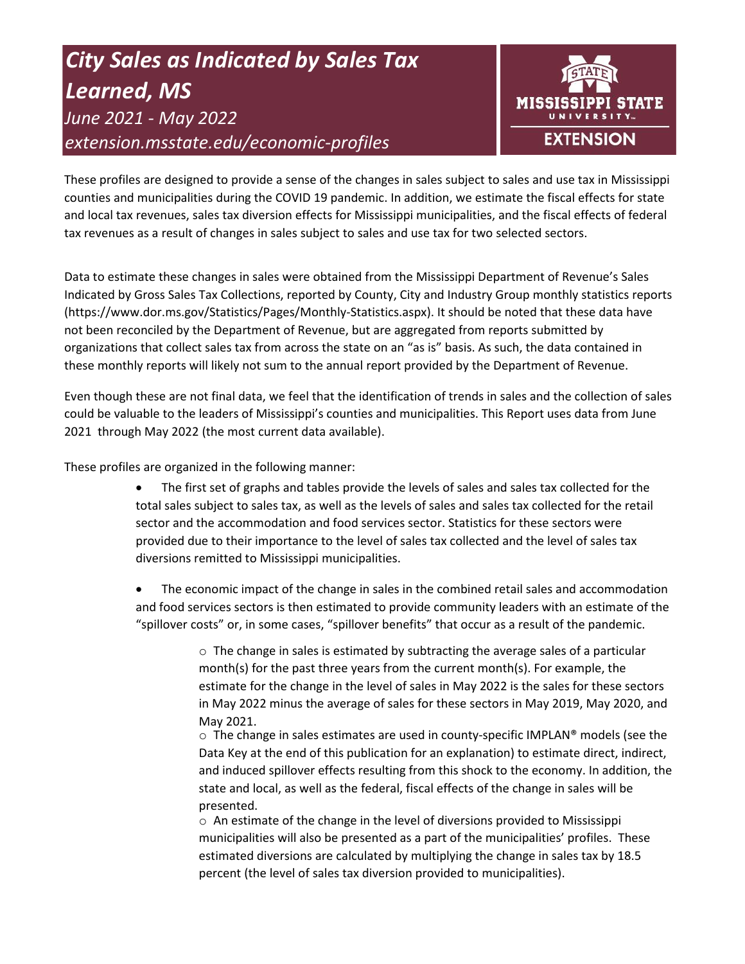# *City Sales as Indicated by Sales Tax Learned, MS June 2021 - May 2022 extension.msstate.edu/economic-profiles*



These profiles are designed to provide a sense of the changes in sales subject to sales and use tax in Mississippi counties and municipalities during the COVID 19 pandemic. In addition, we estimate the fiscal effects for state and local tax revenues, sales tax diversion effects for Mississippi municipalities, and the fiscal effects of federal tax revenues as a result of changes in sales subject to sales and use tax for two selected sectors.

Data to estimate these changes in sales were obtained from the Mississippi Department of Revenue's Sales Indicated by Gross Sales Tax Collections, reported by County, City and Industry Group monthly statistics reports (https://www.dor.ms.gov/Statistics/Pages/Monthly-Statistics.aspx). It should be noted that these data have not been reconciled by the Department of Revenue, but are aggregated from reports submitted by organizations that collect sales tax from across the state on an "as is" basis. As such, the data contained in these monthly reports will likely not sum to the annual report provided by the Department of Revenue.

Even though these are not final data, we feel that the identification of trends in sales and the collection of sales could be valuable to the leaders of Mississippi's counties and municipalities. This Report uses data from June 2021 through May 2022 (the most current data available).

These profiles are organized in the following manner:

- The first set of graphs and tables provide the levels of sales and sales tax collected for the total sales subject to sales tax, as well as the levels of sales and sales tax collected for the retail sector and the accommodation and food services sector. Statistics for these sectors were provided due to their importance to the level of sales tax collected and the level of sales tax diversions remitted to Mississippi municipalities.
- The economic impact of the change in sales in the combined retail sales and accommodation and food services sectors is then estimated to provide community leaders with an estimate of the "spillover costs" or, in some cases, "spillover benefits" that occur as a result of the pandemic.

 $\circ$  The change in sales is estimated by subtracting the average sales of a particular month(s) for the past three years from the current month(s). For example, the estimate for the change in the level of sales in May 2022 is the sales for these sectors in May 2022 minus the average of sales for these sectors in May 2019, May 2020, and May 2021.

 $\circ$  The change in sales estimates are used in county-specific IMPLAN® models (see the Data Key at the end of this publication for an explanation) to estimate direct, indirect, and induced spillover effects resulting from this shock to the economy. In addition, the state and local, as well as the federal, fiscal effects of the change in sales will be presented.

 $\circ$  An estimate of the change in the level of diversions provided to Mississippi municipalities will also be presented as a part of the municipalities' profiles. These estimated diversions are calculated by multiplying the change in sales tax by 18.5 percent (the level of sales tax diversion provided to municipalities).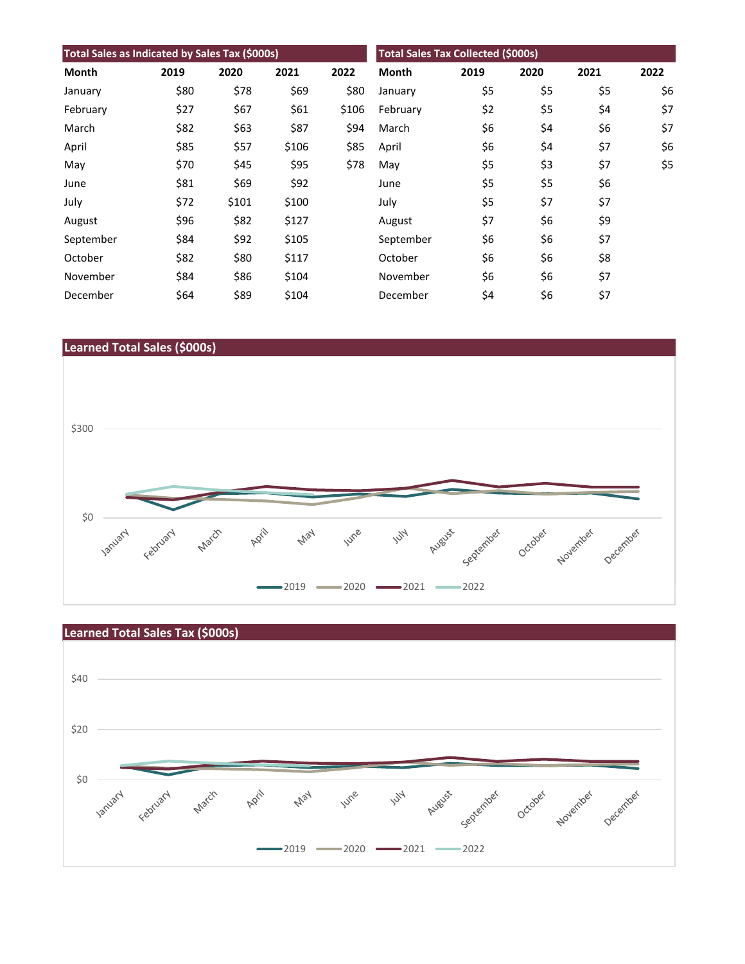| Total Sales as Indicated by Sales Tax (\$000s) |      |       |       |       | <b>Total Sales Tax Collected (\$000s)</b> |      |      |      |      |
|------------------------------------------------|------|-------|-------|-------|-------------------------------------------|------|------|------|------|
| Month                                          | 2019 | 2020  | 2021  | 2022  | <b>Month</b>                              | 2019 | 2020 | 2021 | 2022 |
| January                                        | \$80 | \$78  | \$69  | \$80  | January                                   | \$5  | \$5  | \$5  | \$6  |
| February                                       | \$27 | \$67  | \$61  | \$106 | February                                  | \$2  | \$5  | \$4  | \$7  |
| March                                          | \$82 | \$63  | \$87  | \$94  | March                                     | \$6  | \$4  | \$6  | \$7  |
| April                                          | \$85 | \$57  | \$106 | \$85  | April                                     | \$6  | \$4  | \$7  | \$6  |
| May                                            | \$70 | \$45  | \$95  | \$78  | May                                       | \$5  | \$3  | \$7  | \$5  |
| June                                           | \$81 | \$69  | \$92  |       | June                                      | \$5  | \$5  | \$6  |      |
| July                                           | \$72 | \$101 | \$100 |       | July                                      | \$5  | \$7  | \$7  |      |
| August                                         | \$96 | \$82  | \$127 |       | August                                    | \$7  | \$6  | \$9  |      |
| September                                      | \$84 | \$92  | \$105 |       | September                                 | \$6  | \$6  | \$7  |      |
| October                                        | \$82 | \$80  | \$117 |       | October                                   | \$6  | \$6  | \$8  |      |
| November                                       | \$84 | \$86  | \$104 |       | November                                  | \$6  | \$6  | \$7  |      |
| December                                       | \$64 | \$89  | \$104 |       | December                                  | \$4  | \$6  | \$7  |      |





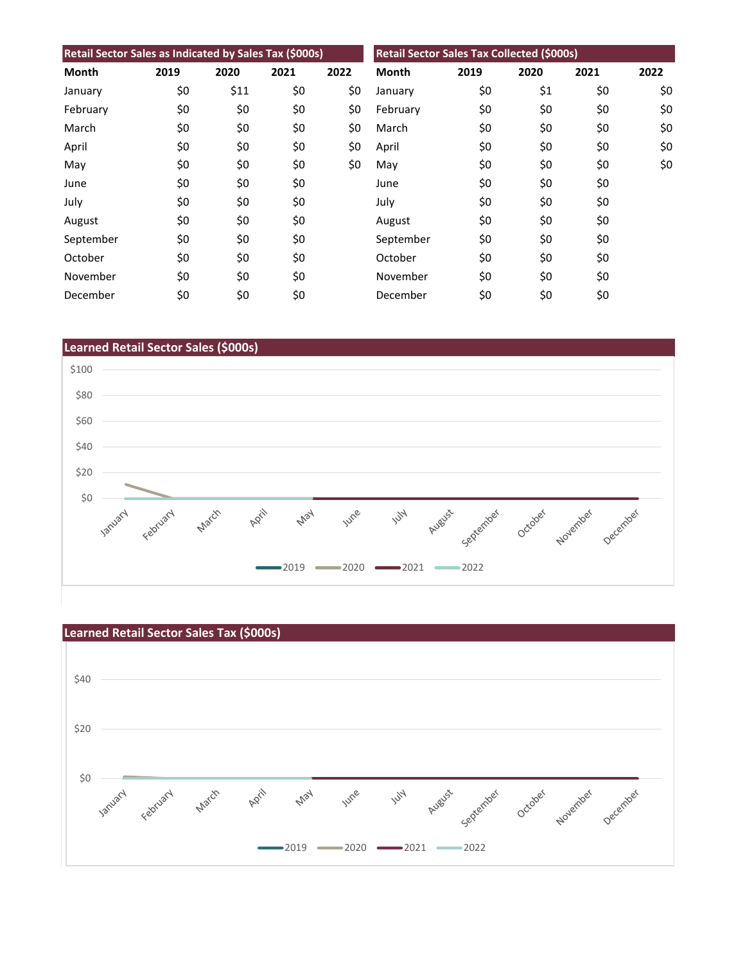| Retail Sector Sales as Indicated by Sales Tax (\$000s) |      |      |      |      | Retail Sector Sales Tax Collected (\$000s) |      |      |      |      |
|--------------------------------------------------------|------|------|------|------|--------------------------------------------|------|------|------|------|
| Month                                                  | 2019 | 2020 | 2021 | 2022 | <b>Month</b>                               | 2019 | 2020 | 2021 | 2022 |
| January                                                | \$0  | \$11 | \$0  | \$0  | January                                    | \$0  | \$1  | \$0  | \$0  |
| February                                               | \$0  | \$0  | \$0  | \$0  | February                                   | \$0  | \$0  | \$0  | \$0  |
| March                                                  | \$0  | \$0  | \$0  | \$0  | March                                      | \$0  | \$0  | \$0  | \$0  |
| April                                                  | \$0  | \$0  | \$0  | \$0  | April                                      | \$0  | \$0  | \$0  | \$0  |
| May                                                    | \$0  | \$0  | \$0  | \$0  | May                                        | \$0  | \$0  | \$0  | \$0  |
| June                                                   | \$0  | \$0  | \$0  |      | June                                       | \$0  | \$0  | \$0  |      |
| July                                                   | \$0  | \$0  | \$0  |      | July                                       | \$0  | \$0  | \$0  |      |
| August                                                 | \$0  | \$0  | \$0  |      | August                                     | \$0  | \$0  | \$0  |      |
| September                                              | \$0  | \$0  | \$0  |      | September                                  | \$0  | \$0  | \$0  |      |
| October                                                | \$0  | \$0  | \$0  |      | October                                    | \$0  | \$0  | \$0  |      |
| November                                               | \$0  | \$0  | \$0  |      | November                                   | \$0  | \$0  | \$0  |      |
| December                                               | \$0  | \$0  | \$0  |      | December                                   | \$0  | \$0  | \$0  |      |



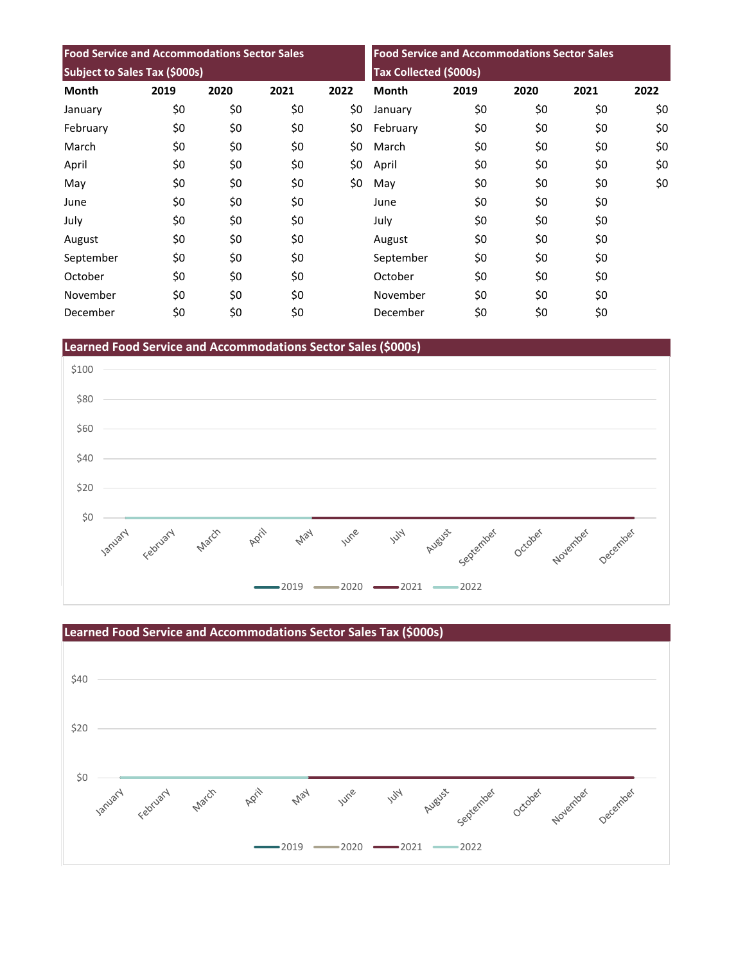| <b>Food Service and Accommodations Sector Sales</b> |      |      |      | <b>Food Service and Accommodations Sector Sales</b><br>Tax Collected (\$000s) |              |      |      |      |      |
|-----------------------------------------------------|------|------|------|-------------------------------------------------------------------------------|--------------|------|------|------|------|
| Subject to Sales Tax (\$000s)                       |      |      |      |                                                                               |              |      |      |      |      |
| <b>Month</b>                                        | 2019 | 2020 | 2021 | 2022                                                                          | <b>Month</b> | 2019 | 2020 | 2021 | 2022 |
| January                                             | \$0  | \$0  | \$0  | \$0                                                                           | January      | \$0  | \$0  | \$0  | \$0  |
| February                                            | \$0  | \$0  | \$0  | \$0                                                                           | February     | \$0  | \$0  | \$0  | \$0  |
| March                                               | \$0  | \$0  | \$0  | \$0                                                                           | March        | \$0  | \$0  | \$0  | \$0  |
| April                                               | \$0  | \$0  | \$0  | \$0                                                                           | April        | \$0  | \$0  | \$0  | \$0  |
| May                                                 | \$0  | \$0  | \$0  | \$0                                                                           | May          | \$0  | \$0  | \$0  | \$0  |
| June                                                | \$0  | \$0  | \$0  |                                                                               | June         | \$0  | \$0  | \$0  |      |
| July                                                | \$0  | \$0  | \$0  |                                                                               | July         | \$0  | \$0  | \$0  |      |
| August                                              | \$0  | \$0  | \$0  |                                                                               | August       | \$0  | \$0  | \$0  |      |
| September                                           | \$0  | \$0  | \$0  |                                                                               | September    | \$0  | \$0  | \$0  |      |
| October                                             | \$0  | \$0  | \$0  |                                                                               | October      | \$0  | \$0  | \$0  |      |
| November                                            | \$0  | \$0  | \$0  |                                                                               | November     | \$0  | \$0  | \$0  |      |
| December                                            | \$0  | \$0  | \$0  |                                                                               | December     | \$0  | \$0  | \$0  |      |

**Learned Food Service and Accommodations Sector Sales (\$000s)**



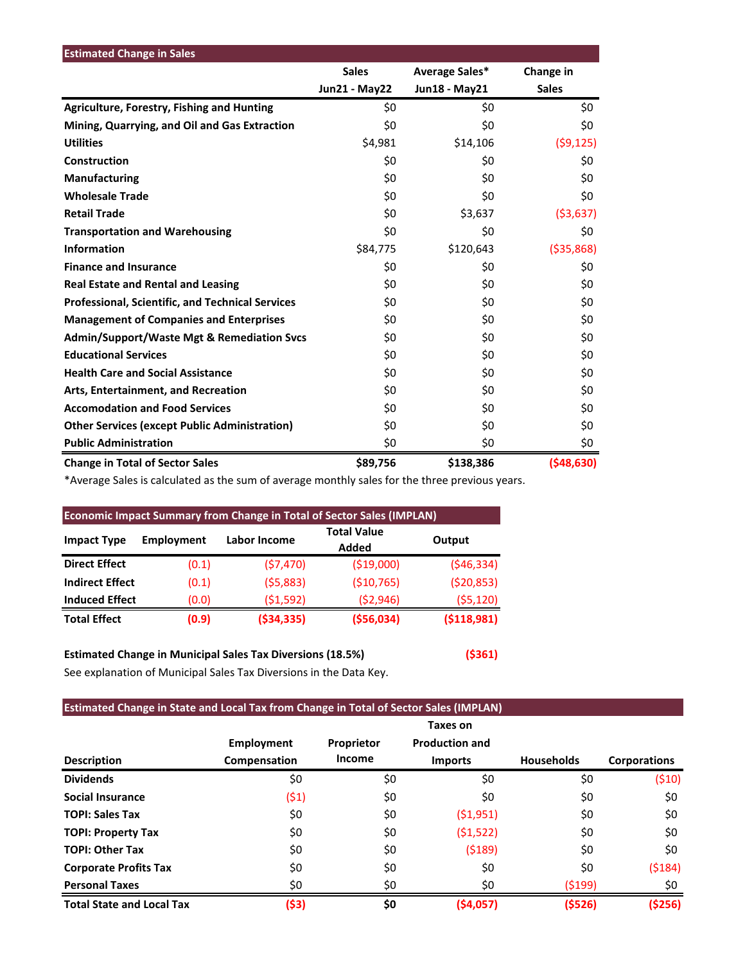| <b>Estimated Change in Sales</b>                        |                      |                |              |
|---------------------------------------------------------|----------------------|----------------|--------------|
|                                                         | <b>Sales</b>         | Average Sales* | Change in    |
|                                                         | <b>Jun21 - May22</b> | Jun18 - May21  | <b>Sales</b> |
| <b>Agriculture, Forestry, Fishing and Hunting</b>       | \$0                  | \$0            | \$0          |
| Mining, Quarrying, and Oil and Gas Extraction           | \$0                  | \$0            | \$0          |
| <b>Utilities</b>                                        | \$4,981              | \$14,106       | (59, 125)    |
| Construction                                            | \$0                  | \$0            | \$0          |
| <b>Manufacturing</b>                                    | \$0                  | \$0            | \$0          |
| <b>Wholesale Trade</b>                                  | \$0                  | \$0            | \$0          |
| <b>Retail Trade</b>                                     | \$0                  | \$3,637        | ( \$3,637)   |
| <b>Transportation and Warehousing</b>                   | \$0                  | \$0            | \$0          |
| <b>Information</b>                                      | \$84,775             | \$120,643      | ( \$35, 868) |
| <b>Finance and Insurance</b>                            | \$0                  | \$0            | \$0          |
| <b>Real Estate and Rental and Leasing</b>               | \$0                  | \$0            | \$0          |
| <b>Professional, Scientific, and Technical Services</b> | \$0                  | \$0            | \$0          |
| <b>Management of Companies and Enterprises</b>          | \$0                  | \$0            | \$0          |
| <b>Admin/Support/Waste Mgt &amp; Remediation Svcs</b>   | \$0                  | \$0            | \$0          |
| <b>Educational Services</b>                             | \$0                  | \$0            | \$0          |
| <b>Health Care and Social Assistance</b>                | \$0                  | \$0            | \$0          |
| Arts, Entertainment, and Recreation                     | \$0                  | \$0            | \$0          |
| <b>Accomodation and Food Services</b>                   | \$0                  | \$0            | \$0          |
| <b>Other Services (except Public Administration)</b>    | \$0                  | \$0            | \$0          |
| <b>Public Administration</b>                            | \$0                  | \$0            | \$0          |
| <b>Change in Total of Sector Sales</b>                  | \$89,756             | \$138,386      | ( \$48, 630) |

\*Average Sales is calculated as the sum of average monthly sales for the three previous years.

| <b>Economic Impact Summary from Change in Total of Sector Sales (IMPLAN)</b> |            |              |                             |            |  |  |  |  |
|------------------------------------------------------------------------------|------------|--------------|-----------------------------|------------|--|--|--|--|
| <b>Impact Type</b>                                                           | Employment | Labor Income | <b>Total Value</b><br>Added | Output     |  |  |  |  |
| <b>Direct Effect</b>                                                         | (0.1)      | (57, 470)    | ( \$19,000)                 | (546, 334) |  |  |  |  |
| <b>Indirect Effect</b>                                                       | (0.1)      | (55,883)     | ( \$10, 765)                | (520, 853) |  |  |  |  |
| <b>Induced Effect</b>                                                        | (0.0)      | (51, 592)    | (52,946)                    | (55, 120)  |  |  |  |  |
| <b>Total Effect</b>                                                          | (0.9)      | ( \$34, 335) | ( \$56,034)                 | (5118,981) |  |  |  |  |

## **Estimated Change in Municipal Sales Tax Diversions (18.5%) (\$361)**

See explanation of Municipal Sales Tax Diversions in the Data Key.

### **Estimated Change in State and Local Tax from Change in Total of Sector Sales (IMPLAN)**

|                                  |                   |            | Taxes on              |                   |                     |
|----------------------------------|-------------------|------------|-----------------------|-------------------|---------------------|
|                                  | <b>Employment</b> | Proprietor | <b>Production and</b> |                   |                     |
| <b>Description</b>               | Compensation      | Income     | <b>Imports</b>        | <b>Households</b> | <b>Corporations</b> |
| <b>Dividends</b>                 | \$0               | \$0        | \$0                   | \$0               | (\$10)              |
| Social Insurance                 | (51)              | \$0        | \$0                   | \$0               | \$0                 |
| <b>TOPI: Sales Tax</b>           | \$0               | \$0        | (51,951)              | \$0               | \$0                 |
| <b>TOPI: Property Tax</b>        | \$0               | \$0        | (51, 522)             | \$0               | \$0                 |
| <b>TOPI: Other Tax</b>           | \$0               | \$0        | (5189)                | \$0               | \$0                 |
| <b>Corporate Profits Tax</b>     | \$0               | \$0        | \$0                   | \$0               | (5184)              |
| <b>Personal Taxes</b>            | \$0               | \$0        | \$0                   | (5199)            | \$0                 |
| <b>Total State and Local Tax</b> | (\$3)             | \$0        | (54,057)              | (5526)            | (\$256)             |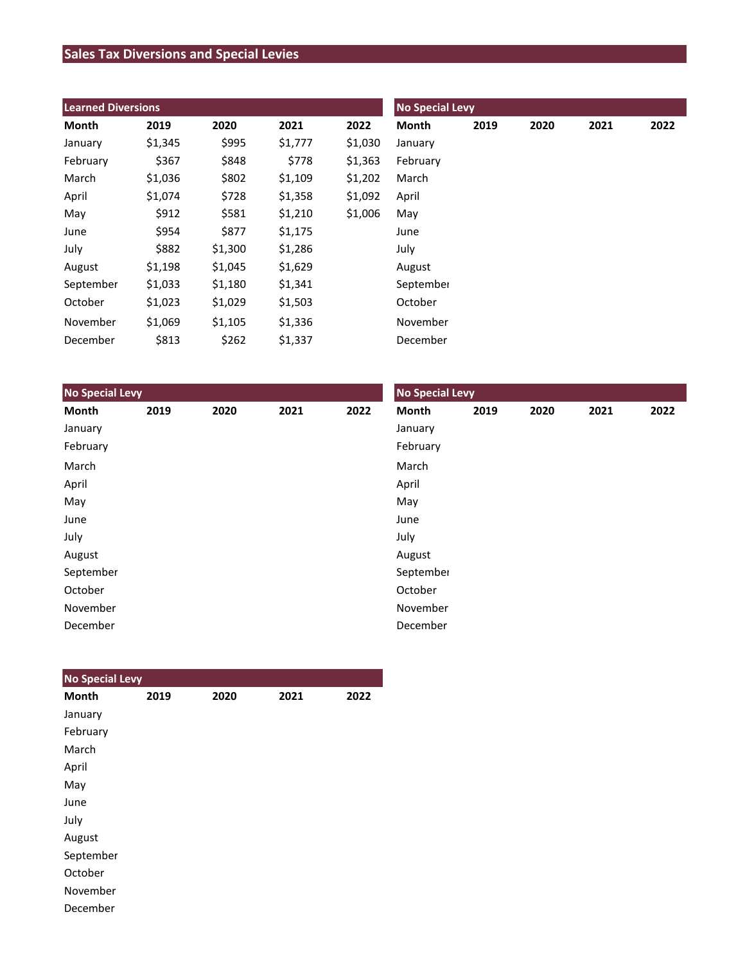## **Sales Tax Diversions and Special Levies**

| <b>Learned Diversions</b> |         |         |         |         | <b>No Special Levy</b> |      |      |      |      |  |
|---------------------------|---------|---------|---------|---------|------------------------|------|------|------|------|--|
| Month                     | 2019    | 2020    | 2021    | 2022    | Month                  | 2019 | 2020 | 2021 | 2022 |  |
| January                   | \$1,345 | \$995   | \$1,777 | \$1,030 | January                |      |      |      |      |  |
| February                  | \$367   | \$848   | \$778   | \$1,363 | February               |      |      |      |      |  |
| March                     | \$1,036 | \$802   | \$1,109 | \$1,202 | March                  |      |      |      |      |  |
| April                     | \$1,074 | \$728   | \$1,358 | \$1,092 | April                  |      |      |      |      |  |
| May                       | \$912   | \$581   | \$1,210 | \$1,006 | May                    |      |      |      |      |  |
| June                      | \$954   | \$877   | \$1,175 |         | June                   |      |      |      |      |  |
| July                      | \$882   | \$1,300 | \$1,286 |         | July                   |      |      |      |      |  |
| August                    | \$1,198 | \$1,045 | \$1,629 |         | August                 |      |      |      |      |  |
| September                 | \$1,033 | \$1,180 | \$1,341 |         | September              |      |      |      |      |  |
| October                   | \$1,023 | \$1,029 | \$1,503 |         | October                |      |      |      |      |  |
| November                  | \$1,069 | \$1,105 | \$1,336 |         | November               |      |      |      |      |  |
| December                  | \$813   | \$262   | \$1,337 |         | December               |      |      |      |      |  |

| <b>No Special Levy</b> |      |      |      |      | <b>No Special Levy</b> |      |      |      |      |  |
|------------------------|------|------|------|------|------------------------|------|------|------|------|--|
| Month                  | 2019 | 2020 | 2021 | 2022 | Month                  | 2019 | 2020 | 2021 | 2022 |  |
| January                |      |      |      |      | January                |      |      |      |      |  |
| February               |      |      |      |      | February               |      |      |      |      |  |
| March                  |      |      |      |      | March                  |      |      |      |      |  |
| April                  |      |      |      |      | April                  |      |      |      |      |  |
| May                    |      |      |      |      | May                    |      |      |      |      |  |
| June                   |      |      |      |      | June                   |      |      |      |      |  |
| July                   |      |      |      |      | July                   |      |      |      |      |  |
| August                 |      |      |      |      | August                 |      |      |      |      |  |
| September              |      |      |      |      | September              |      |      |      |      |  |
| October                |      |      |      |      | October                |      |      |      |      |  |
| November               |      |      |      |      | November               |      |      |      |      |  |
| December               |      |      |      |      | December               |      |      |      |      |  |

| <b>No Special Levy</b> |      |      |      |      |
|------------------------|------|------|------|------|
| <b>Month</b>           | 2019 | 2020 | 2021 | 2022 |
| January                |      |      |      |      |
| February               |      |      |      |      |
| March                  |      |      |      |      |
| April                  |      |      |      |      |
| May                    |      |      |      |      |
| June                   |      |      |      |      |
| July                   |      |      |      |      |
| August                 |      |      |      |      |
| September              |      |      |      |      |
| October                |      |      |      |      |
| November               |      |      |      |      |
| December               |      |      |      |      |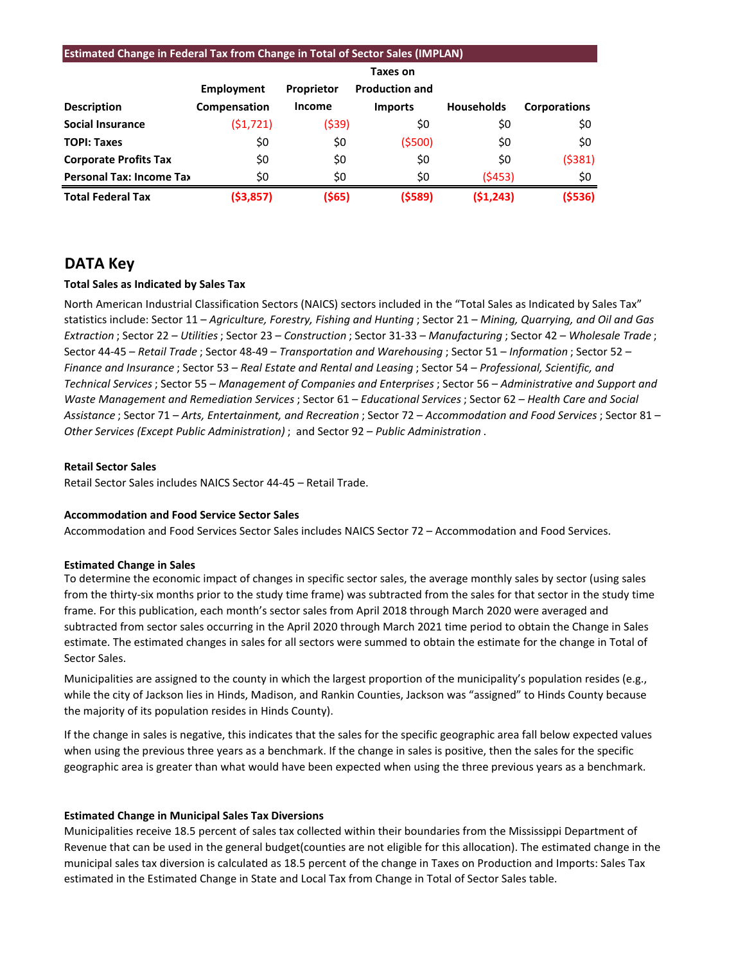| <b>Estimated Change in Federal Tax from Change in Total of Sector Sales (IMPLAN)</b> |              |               |                       |                   |                     |  |  |  |  |
|--------------------------------------------------------------------------------------|--------------|---------------|-----------------------|-------------------|---------------------|--|--|--|--|
|                                                                                      | Taxes on     |               |                       |                   |                     |  |  |  |  |
|                                                                                      | Employment   | Proprietor    | <b>Production and</b> |                   |                     |  |  |  |  |
| <b>Description</b>                                                                   | Compensation | <b>Income</b> | <b>Imports</b>        | <b>Households</b> | <b>Corporations</b> |  |  |  |  |
| <b>Social Insurance</b>                                                              | (51, 721)    | (\$39)        | \$0                   | \$0               | \$0                 |  |  |  |  |
| <b>TOPI: Taxes</b>                                                                   | \$0          | \$0           | (5500)                | \$0               | \$0                 |  |  |  |  |
| <b>Corporate Profits Tax</b>                                                         | \$0          | \$0           | \$0                   | \$0               | (5381)              |  |  |  |  |
| <b>Personal Tax: Income Tax</b>                                                      | \$0          | \$0           | \$0                   | (5453)            | \$0                 |  |  |  |  |
| <b>Total Federal Tax</b>                                                             | ( \$3,857)   | ( \$65)       | (\$589)               | (51, 243)         | (5536)              |  |  |  |  |

## **DATA Key**

#### **Total Sales as Indicated by Sales Tax**

North American Industrial Classification Sectors (NAICS) sectors included in the "Total Sales as Indicated by Sales Tax" statistics include: Sector 11 – *Agriculture, Forestry, Fishing and Hunting* ; Sector 21 – *Mining, Quarrying, and Oil and Gas Extraction* ; Sector 22 – *Utilities*; Sector 23 – *Construction* ; Sector 31-33 – *Manufacturing* ; Sector 42 – *Wholesale Trade* ; Sector 44-45 – *Retail Trade* ; Sector 48-49 – *Transportation and Warehousing* ; Sector 51 – *Information* ; Sector 52 – *Finance and Insurance* ; Sector 53 – *Real Estate and Rental and Leasing* ; Sector 54 – *Professional, Scientific, and Technical Services*; Sector 55 – *Management of Companies and Enterprises* ; Sector 56 – *Administrative and Support and Waste Management and Remediation Services* ; Sector 61 – *Educational Services*; Sector 62 – *Health Care and Social Assistance* ; Sector 71 – *Arts, Entertainment, and Recreation* ; Sector 72 – *Accommodation and Food Services* ; Sector 81 – *Other Services (Except Public Administration)* ; and Sector 92 – *Public Administration* .

#### **Retail Sector Sales**

Retail Sector Sales includes NAICS Sector 44-45 – Retail Trade.

#### **Accommodation and Food Service Sector Sales**

Accommodation and Food Services Sector Sales includes NAICS Sector 72 – Accommodation and Food Services.

#### **Estimated Change in Sales**

To determine the economic impact of changes in specific sector sales, the average monthly sales by sector (using sales from the thirty-six months prior to the study time frame) was subtracted from the sales for that sector in the study time frame. For this publication, each month's sector sales from April 2018 through March 2020 were averaged and subtracted from sector sales occurring in the April 2020 through March 2021 time period to obtain the Change in Sales estimate. The estimated changes in sales for all sectors were summed to obtain the estimate for the change in Total of Sector Sales.

Municipalities are assigned to the county in which the largest proportion of the municipality's population resides (e.g., while the city of Jackson lies in Hinds, Madison, and Rankin Counties, Jackson was "assigned" to Hinds County because the majority of its population resides in Hinds County).

If the change in sales is negative, this indicates that the sales for the specific geographic area fall below expected values when using the previous three years as a benchmark. If the change in sales is positive, then the sales for the specific geographic area is greater than what would have been expected when using the three previous years as a benchmark.

#### **Estimated Change in Municipal Sales Tax Diversions**

Municipalities receive 18.5 percent of sales tax collected within their boundaries from the Mississippi Department of Revenue that can be used in the general budget(counties are not eligible for this allocation). The estimated change in the municipal sales tax diversion is calculated as 18.5 percent of the change in Taxes on Production and Imports: Sales Tax estimated in the Estimated Change in State and Local Tax from Change in Total of Sector Sales table.